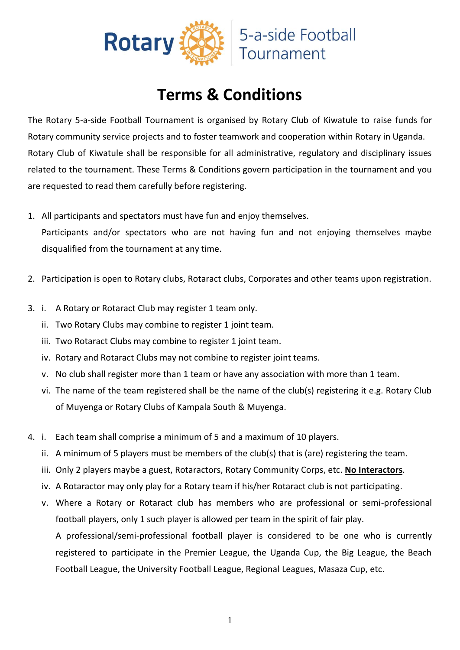

## **Terms & Conditions**

The Rotary 5-a-side Football Tournament is organised by Rotary Club of Kiwatule to raise funds for Rotary community service projects and to foster teamwork and cooperation within Rotary in Uganda. Rotary Club of Kiwatule shall be responsible for all administrative, regulatory and disciplinary issues related to the tournament. These Terms & Conditions govern participation in the tournament and you are requested to read them carefully before registering.

1. All participants and spectators must have fun and enjoy themselves.

Participants and/or spectators who are not having fun and not enjoying themselves maybe disqualified from the tournament at any time.

- 2. Participation is open to Rotary clubs, Rotaract clubs, Corporates and other teams upon registration.
- 3. i. A Rotary or Rotaract Club may register 1 team only.
	- ii. Two Rotary Clubs may combine to register 1 joint team.
	- iii. Two Rotaract Clubs may combine to register 1 joint team.
	- iv. Rotary and Rotaract Clubs may not combine to register joint teams.
	- v. No club shall register more than 1 team or have any association with more than 1 team.
	- vi. The name of the team registered shall be the name of the club(s) registering it e.g. Rotary Club of Muyenga or Rotary Clubs of Kampala South & Muyenga.
- 4. i. Each team shall comprise a minimum of 5 and a maximum of 10 players.
	- ii. A minimum of 5 players must be members of the club(s) that is (are) registering the team.
	- iii. Only 2 players maybe a guest, Rotaractors, Rotary Community Corps, etc. **No Interactors**.
	- iv. A Rotaractor may only play for a Rotary team if his/her Rotaract club is not participating.
	- v. Where a Rotary or Rotaract club has members who are professional or semi-professional football players, only 1 such player is allowed per team in the spirit of fair play.

A professional/semi-professional football player is considered to be one who is currently registered to participate in the Premier League, the Uganda Cup, the Big League, the Beach Football League, the University Football League, Regional Leagues, Masaza Cup, etc.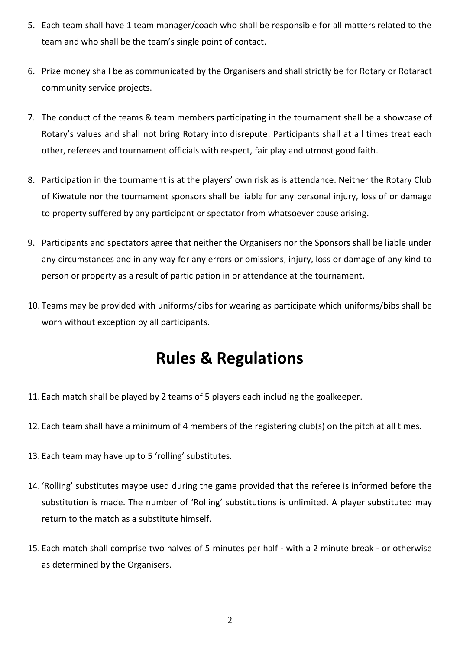- 5. Each team shall have 1 team manager/coach who shall be responsible for all matters related to the team and who shall be the team's single point of contact.
- 6. Prize money shall be as communicated by the Organisers and shall strictly be for Rotary or Rotaract community service projects.
- 7. The conduct of the teams & team members participating in the tournament shall be a showcase of Rotary's values and shall not bring Rotary into disrepute. Participants shall at all times treat each other, referees and tournament officials with respect, fair play and utmost good faith.
- 8. Participation in the tournament is at the players' own risk as is attendance. Neither the Rotary Club of Kiwatule nor the tournament sponsors shall be liable for any personal injury, loss of or damage to property suffered by any participant or spectator from whatsoever cause arising.
- 9. Participants and spectators agree that neither the Organisers nor the Sponsors shall be liable under any circumstances and in any way for any errors or omissions, injury, loss or damage of any kind to person or property as a result of participation in or attendance at the tournament.
- 10. Teams may be provided with uniforms/bibs for wearing as participate which uniforms/bibs shall be worn without exception by all participants.

## **Rules & Regulations**

- 11. Each match shall be played by 2 teams of 5 players each including the goalkeeper.
- 12. Each team shall have a minimum of 4 members of the registering club(s) on the pitch at all times.
- 13. Each team may have up to 5 'rolling' substitutes.
- 14. 'Rolling' substitutes maybe used during the game provided that the referee is informed before the substitution is made. The number of 'Rolling' substitutions is unlimited. A player substituted may return to the match as a substitute himself.
- 15. Each match shall comprise two halves of 5 minutes per half with a 2 minute break or otherwise as determined by the Organisers.